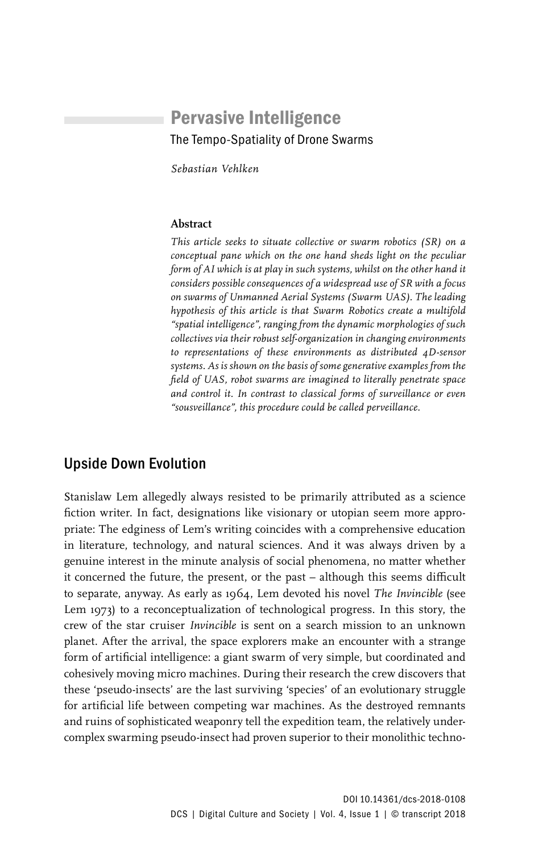# Pervasive Intelligence The Tempo-Spatiality of Drone Swarms

*Sebastian Vehlken*

#### **Abstract**

*This article seeks to situate collective or swarm robotics (SR) on a conceptual pane which on the one hand sheds light on the peculiar form of AI which is at play in such systems, whilst on the other hand it considers possible consequences of a widespread use of SR with a focus on swarms of Unmanned Aerial Systems (Swarm UAS). The leading hypothesis of this article is that Swarm Robotics create a multifold "spatial intelligence", ranging from the dynamic morphologies of such collectives via their robust self-organization in changing environments to representations of these environments as distributed 4D-sensor systems. As is shown on the basis of some generative examples from the field of UAS, robot swarms are imagined to literally penetrate space and control it. In contrast to classical forms of surveillance or even "sousveillance", this procedure could be called perveillance.*

#### Upside Down Evolution

Stanislaw Lem allegedly always resisted to be primarily attributed as a science fiction writer. In fact, designations like visionary or utopian seem more appropriate: The edginess of Lem's writing coincides with a comprehensive education in literature, technology, and natural sciences. And it was always driven by a genuine interest in the minute analysis of social phenomena, no matter whether it concerned the future, the present, or the past – although this seems difficult to separate, anyway. As early as 1964, Lem devoted his novel *The Invincible* (see Lem 1973) to a reconceptualization of technological progress. In this story, the crew of the star cruiser *Invincible* is sent on a search mission to an unknown planet. After the arrival, the space explorers make an encounter with a strange form of artificial intelligence: a giant swarm of very simple, but coordinated and cohesively moving micro machines. During their research the crew discovers that these 'pseudo-insects' are the last surviving 'species' of an evolutionary struggle for artificial life between competing war machines. As the destroyed remnants and ruins of sophisticated weaponry tell the expedition team, the relatively undercomplex swarming pseudo-insect had proven superior to their monolithic techno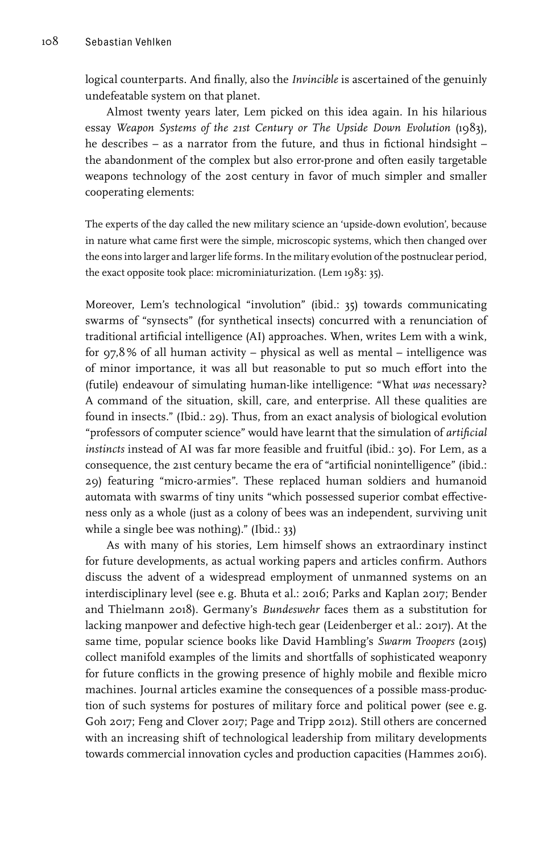logical counterparts. And finally, also the *Invincible* is ascertained of the genuinly undefeatable system on that planet.

Almost twenty years later, Lem picked on this idea again. In his hilarious essay *Weapon Systems of the 21st Century or The Upside Down Evolution* (1983), he describes – as a narrator from the future, and thus in fictional hindsight – the abandonment of the complex but also error-prone and often easily targetable weapons technology of the 20st century in favor of much simpler and smaller cooperating elements:

The experts of the day called the new military science an 'upside-down evolution', because in nature what came first were the simple, microscopic systems, which then changed over the eons into larger and larger life forms. In the military evolution of the postnuclear period, the exact opposite took place: microminiaturization. (Lem 1983: 35).

Moreover, Lem's technological "involution" (ibid.: 35) towards communicating swarms of "synsects" (for synthetical insects) concurred with a renunciation of traditional artificial intelligence (AI) approaches. When, writes Lem with a wink, for 97,8% of all human activity – physical as well as mental – intelligence was of minor importance, it was all but reasonable to put so much effort into the (futile) endeavour of simulating human-like intelligence: "What *was* necessary? A command of the situation, skill, care, and enterprise. All these qualities are found in insects." (Ibid.: 29). Thus, from an exact analysis of biological evolution "professors of computer science" would have learnt that the simulation of *artificial instincts* instead of AI was far more feasible and fruitful (ibid.: 30). For Lem, as a consequence, the 21st century became the era of "artificial nonintelligence" (ibid.: 29) featuring "micro-armies". These replaced human soldiers and humanoid automata with swarms of tiny units "which possessed superior combat effectiveness only as a whole (just as a colony of bees was an independent, surviving unit while a single bee was nothing)." (Ibid.: 33)

As with many of his stories, Lem himself shows an extraordinary instinct for future developments, as actual working papers and articles confirm. Authors discuss the advent of a widespread employment of unmanned systems on an interdisciplinary level (see e.g. Bhuta et al.: 2016; Parks and Kaplan 2017; Bender and Thielmann 2018). Germany's *Bundeswehr* faces them as a substitution for lacking manpower and defective high-tech gear (Leidenberger et al.: 2017). At the same time, popular science books like David Hambling's *Swarm Troopers* (2015) collect manifold examples of the limits and shortfalls of sophisticated weaponry for future conflicts in the growing presence of highly mobile and flexible micro machines. Journal articles examine the consequences of a possible mass-production of such systems for postures of military force and political power (see e.g. Goh 2017; Feng and Clover 2017; Page and Tripp 2012). Still others are concerned with an increasing shift of technological leadership from military developments towards commercial innovation cycles and production capacities (Hammes 2016).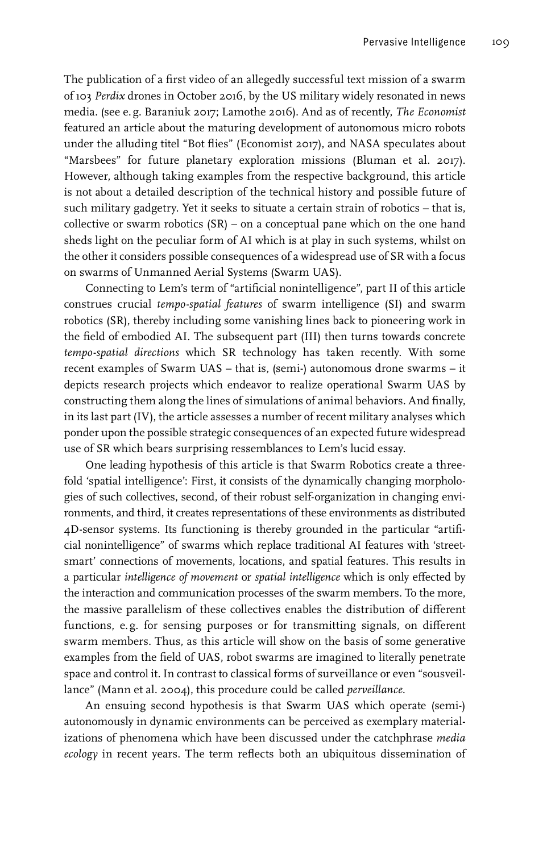The publication of a first video of an allegedly successful text mission of a swarm of 103 *Perdix* drones in October 2016, by the US military widely resonated in news media. (see e.g. Baraniuk 2017; Lamothe 2016). And as of recently, *The Economist*  featured an article about the maturing development of autonomous micro robots under the alluding titel "Bot flies" (Economist 2017), and NASA speculates about "Marsbees" for future planetary exploration missions (Bluman et al. 2017). However, although taking examples from the respective background, this article is not about a detailed description of the technical history and possible future of such military gadgetry. Yet it seeks to situate a certain strain of robotics – that is, collective or swarm robotics (SR) – on a conceptual pane which on the one hand sheds light on the peculiar form of AI which is at play in such systems, whilst on the other it considers possible consequences of a widespread use of SR with a focus on swarms of Unmanned Aerial Systems (Swarm UAS).

Connecting to Lem's term of "artificial nonintelligence", part II of this article construes crucial *tempo-spatial features* of swarm intelligence (SI) and swarm robotics (SR), thereby including some vanishing lines back to pioneering work in the field of embodied AI. The subsequent part (III) then turns towards concrete *tempo-spatial directions* which SR technology has taken recently. With some recent examples of Swarm UAS – that is, (semi-) autonomous drone swarms – it depicts research projects which endeavor to realize operational Swarm UAS by constructing them along the lines of simulations of animal behaviors. And finally, in its last part (IV), the article assesses a number of recent military analyses which ponder upon the possible strategic consequences of an expected future widespread use of SR which bears surprising ressemblances to Lem's lucid essay.

One leading hypothesis of this article is that Swarm Robotics create a threefold 'spatial intelligence': First, it consists of the dynamically changing morphologies of such collectives, second, of their robust self-organization in changing environments, and third, it creates representations of these environments as distributed 4D-sensor systems. Its functioning is thereby grounded in the particular "artificial nonintelligence" of swarms which replace traditional AI features with 'streetsmart' connections of movements, locations, and spatial features. This results in a particular *intelligence of movement* or *spatial intelligence* which is only effected by the interaction and communication processes of the swarm members. To the more, the massive parallelism of these collectives enables the distribution of different functions, e.g. for sensing purposes or for transmitting signals, on different swarm members. Thus, as this article will show on the basis of some generative examples from the field of UAS, robot swarms are imagined to literally penetrate space and control it. In contrast to classical forms of surveillance or even "sousveillance" (Mann et al. 2004), this procedure could be called *perveillance*.

An ensuing second hypothesis is that Swarm UAS which operate (semi-) autonomously in dynamic environments can be perceived as exemplary materializations of phenomena which have been discussed under the catchphrase *media ecology* in recent years. The term reflects both an ubiquitous dissemination of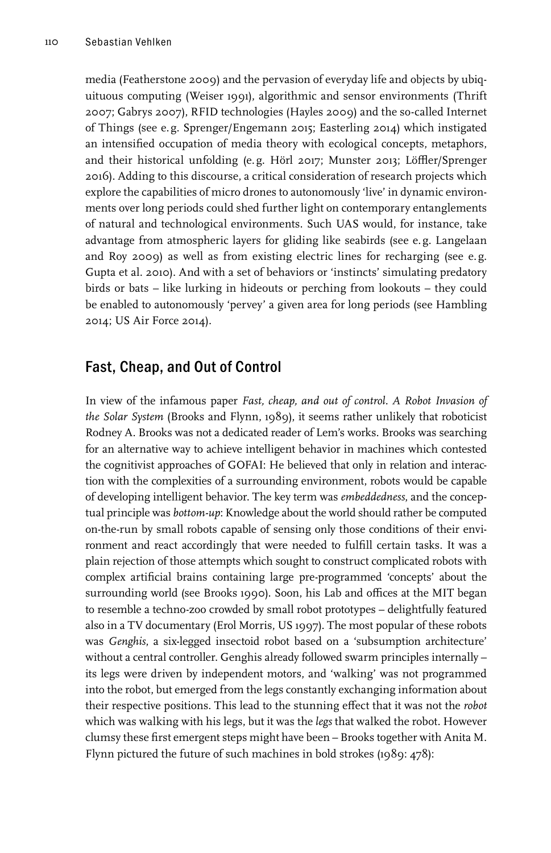media (Featherstone 2009) and the pervasion of everyday life and objects by ubiquituous computing (Weiser 1991), algorithmic and sensor environments (Thrift 2007; Gabrys 2007), RFID technologies (Hayles 2009) and the so-called Internet of Things (see e.g. Sprenger/Engemann 2015; Easterling 2014) which instigated an intensified occupation of media theory with ecological concepts, metaphors, and their historical unfolding (e.g. Hörl 2017; Munster 2013; Löffler/Sprenger 2016). Adding to this discourse, a critical consideration of research projects which explore the capabilities of micro drones to autonomously 'live' in dynamic environments over long periods could shed further light on contemporary entanglements of natural and technological environments. Such UAS would, for instance, take advantage from atmospheric layers for gliding like seabirds (see e. g. Langelaan and Roy 2009) as well as from existing electric lines for recharging (see e.g. Gupta et al. 2010). And with a set of behaviors or 'instincts' simulating predatory birds or bats – like lurking in hideouts or perching from lookouts – they could be enabled to autonomously 'pervey' a given area for long periods (see Hambling 2014; US Air Force 2014).

### Fast, Cheap, and Out of Control

In view of the infamous paper *Fast, cheap, and out of control. A Robot Invasion of the Solar System* (Brooks and Flynn, 1989), it seems rather unlikely that roboticist Rodney A. Brooks was not a dedicated reader of Lem's works. Brooks was searching for an alternative way to achieve intelligent behavior in machines which contested the cognitivist approaches of GOFAI: He believed that only in relation and interaction with the complexities of a surrounding environment, robots would be capable of developing intelligent behavior. The key term was *embeddedness*, and the conceptual principle was *bottom-up*: Knowledge about the world should rather be computed on-the-run by small robots capable of sensing only those conditions of their environment and react accordingly that were needed to fulfill certain tasks. It was a plain rejection of those attempts which sought to construct complicated robots with complex artificial brains containing large pre-programmed 'concepts' about the surrounding world (see Brooks 1990). Soon, his Lab and offices at the MIT began to resemble a techno-zoo crowded by small robot prototypes – delightfully featured also in a TV documentary (Erol Morris, US 1997). The most popular of these robots was *Genghis*, a six-legged insectoid robot based on a 'subsumption architecture' without a central controller. Genghis already followed swarm principles internally – its legs were driven by independent motors, and 'walking' was not programmed into the robot, but emerged from the legs constantly exchanging information about their respective positions. This lead to the stunning effect that it was not the *robot* which was walking with his legs, but it was the *legs* that walked the robot. However clumsy these first emergent steps might have been – Brooks together with Anita M. Flynn pictured the future of such machines in bold strokes (1989: 478):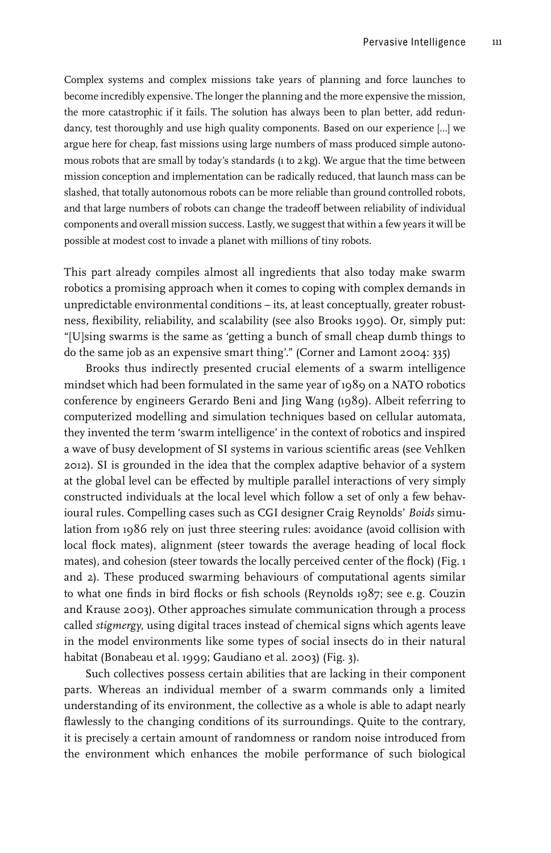Complex systems and complex missions take years of planning and force launches to become incredibly expensive. The longer the planning and the more expensive the mission, the more catastrophic if it fails. The solution has always been to plan better, add redundancy, test thoroughly and use high quality components. Based on our experience […] we argue here for cheap, fast missions using large numbers of mass produced simple autonomous robots that are small by today's standards (1 to 2kg). We argue that the time between mission conception and implementation can be radically reduced, that launch mass can be slashed, that totally autonomous robots can be more reliable than ground controlled robots, and that large numbers of robots can change the tradeoff between reliability of individual components and overall mission success. Lastly, we suggest that within a few years it will be possible at modest cost to invade a planet with millions of tiny robots.

This part already compiles almost all ingredients that also today make swarm robotics a promising approach when it comes to coping with complex demands in unpredictable environmental conditions – its, at least conceptually, greater robustness, flexibility, reliability, and scalability (see also Brooks 1990). Or, simply put: "[U]sing swarms is the same as 'getting a bunch of small cheap dumb things to do the same job as an expensive smart thing'." (Corner and Lamont 2004: 335)

Brooks thus indirectly presented crucial elements of a swarm intelligence mindset which had been formulated in the same year of 1989 on a NATO robotics conference by engineers Gerardo Beni and Jing Wang (1989). Albeit referring to computerized modelling and simulation techniques based on cellular automata, they invented the term 'swarm intelligence' in the context of robotics and inspired a wave of busy development of SI systems in various scientific areas (see Vehlken 2012). SI is grounded in the idea that the complex adaptive behavior of a system at the global level can be effected by multiple parallel interactions of very simply constructed individuals at the local level which follow a set of only a few behavioural rules. Compelling cases such as CGI designer Craig Reynolds' *Boids* simulation from 1986 rely on just three steering rules: avoidance (avoid collision with local flock mates), alignment (steer towards the average heading of local flock mates), and cohesion (steer towards the locally perceived center of the flock) (Fig. 1 and 2). These produced swarming behaviours of computational agents similar to what one finds in bird flocks or fish schools (Reynolds 1987; see e.g. Couzin and Krause 2003). Other approaches simulate communication through a process called *stigmergy*, using digital traces instead of chemical signs which agents leave in the model environments like some types of social insects do in their natural habitat (Bonabeau et al. 1999; Gaudiano et al. 2003) (Fig. 3).

Such collectives possess certain abilities that are lacking in their component parts. Whereas an individual member of a swarm commands only a limited understanding of its environment, the collective as a whole is able to adapt nearly flawlessly to the changing conditions of its surroundings. Quite to the contrary, it is precisely a certain amount of randomness or random noise introduced from the environment which enhances the mobile performance of such biological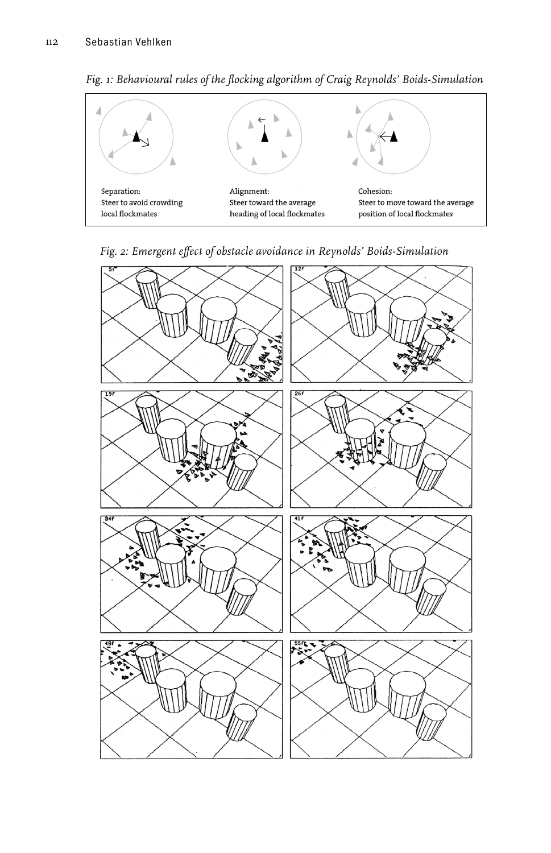

*Fig. 1: Behavioural rules of the flocking algorithm of Craig Reynolds' Boids-Simulation*



*Fig. 2: Emergent effect of obstacle avoidance in Reynolds' Boids-Simulation*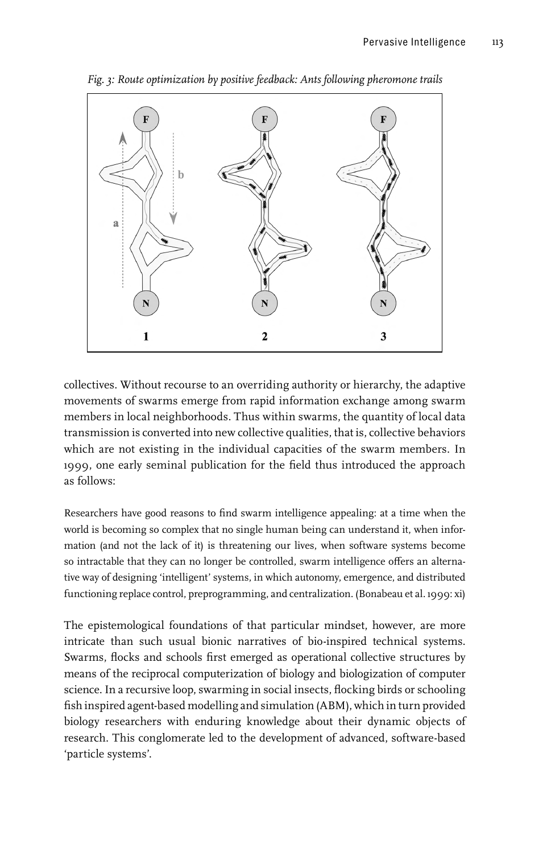

*Fig. 3: Route optimization by positive feedback: Ants following pheromone trails*

collectives. Without recourse to an overriding authority or hierarchy, the adaptive movements of swarms emerge from rapid information exchange among swarm members in local neighborhoods. Thus within swarms, the quantity of local data transmission is converted into new collective qualities, that is, collective behaviors which are not existing in the individual capacities of the swarm members. In 1999, one early seminal publication for the field thus introduced the approach as follows:

Researchers have good reasons to find swarm intelligence appealing: at a time when the world is becoming so complex that no single human being can understand it, when information (and not the lack of it) is threatening our lives, when software systems become so intractable that they can no longer be controlled, swarm intelligence offers an alternative way of designing 'intelligent' systems, in which autonomy, emergence, and distributed functioning replace control, preprogramming, and centralization. (Bonabeau et al. 1999: xi)

The epistemological foundations of that particular mindset, however, are more intricate than such usual bionic narratives of bio-inspired technical systems. Swarms, flocks and schools first emerged as operational collective structures by means of the reciprocal computerization of biology and biologization of computer science. In a recursive loop, swarming in social insects, flocking birds or schooling fish inspired agent-based modelling and simulation (ABM), which in turn provided biology researchers with enduring knowledge about their dynamic objects of research. This conglomerate led to the development of advanced, software-based 'particle systems'.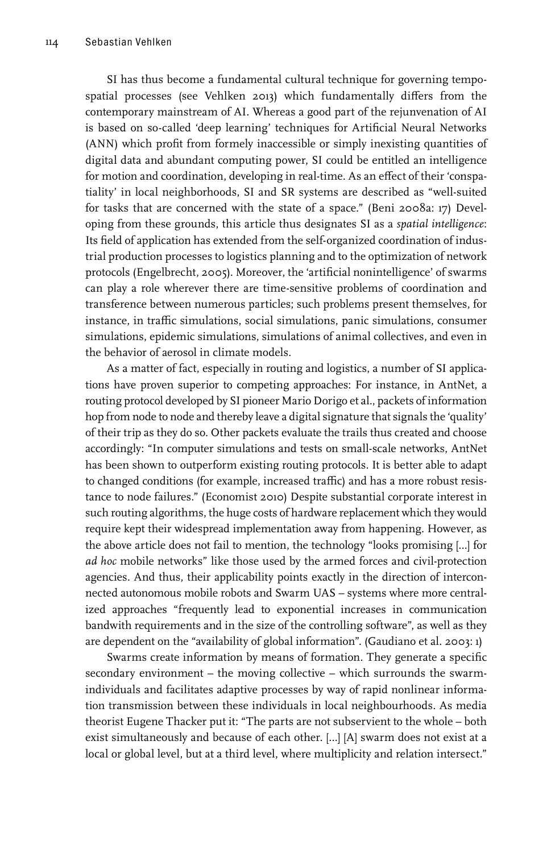SI has thus become a fundamental cultural technique for governing tempospatial processes (see Vehlken 2013) which fundamentally differs from the contemporary mainstream of AI. Whereas a good part of the rejunvenation of AI is based on so-called 'deep learning' techniques for Artificial Neural Networks (ANN) which profit from formely inaccessible or simply inexisting quantities of digital data and abundant computing power, SI could be entitled an intelligence for motion and coordination, developing in real-time. As an effect of their 'conspatiality' in local neighborhoods, SI and SR systems are described as "well-suited for tasks that are concerned with the state of a space." (Beni 2008a: 17) Developing from these grounds, this article thus designates SI as a *spatial intelligence*: Its field of application has extended from the self-organized coordination of industrial production processes to logistics planning and to the optimization of network protocols (Engelbrecht, 2005). Moreover, the 'artificial nonintelligence' of swarms can play a role wherever there are time-sensitive problems of coordination and transference between numerous particles; such problems present themselves, for instance, in traffic simulations, social simulations, panic simulations, consumer simulations, epidemic simulations, simulations of animal collectives, and even in the behavior of aerosol in climate models.

As a matter of fact, especially in routing and logistics, a number of SI applications have proven superior to competing approaches: For instance, in AntNet, a routing protocol developed by SI pioneer Mario Dorigo et al., packets of information hop from node to node and thereby leave a digital signature that signals the 'quality' of their trip as they do so. Other packets evaluate the trails thus created and choose accordingly: "In computer simulations and tests on small-scale networks, AntNet has been shown to outperform existing routing protocols. It is better able to adapt to changed conditions (for example, increased traffic) and has a more robust resistance to node failures." (Economist 2010) Despite substantial corporate interest in such routing algorithms, the huge costs of hardware replacement which they would require kept their widespread implementation away from happening. However, as the above article does not fail to mention, the technology "looks promising […] for *ad hoc* mobile networks" like those used by the armed forces and civil-protection agencies. And thus, their applicability points exactly in the direction of interconnected autonomous mobile robots and Swarm UAS – systems where more centralized approaches "frequently lead to exponential increases in communication bandwith requirements and in the size of the controlling software", as well as they are dependent on the "availability of global information". (Gaudiano et al. 2003: 1)

Swarms create information by means of formation. They generate a specific secondary environment – the moving collective – which surrounds the swarmindividuals and facilitates adaptive processes by way of rapid nonlinear information transmission between these individuals in local neighbourhoods. As media theorist Eugene Thacker put it: "The parts are not subservient to the whole – both exist simultaneously and because of each other. […] [A] swarm does not exist at a local or global level, but at a third level, where multiplicity and relation intersect."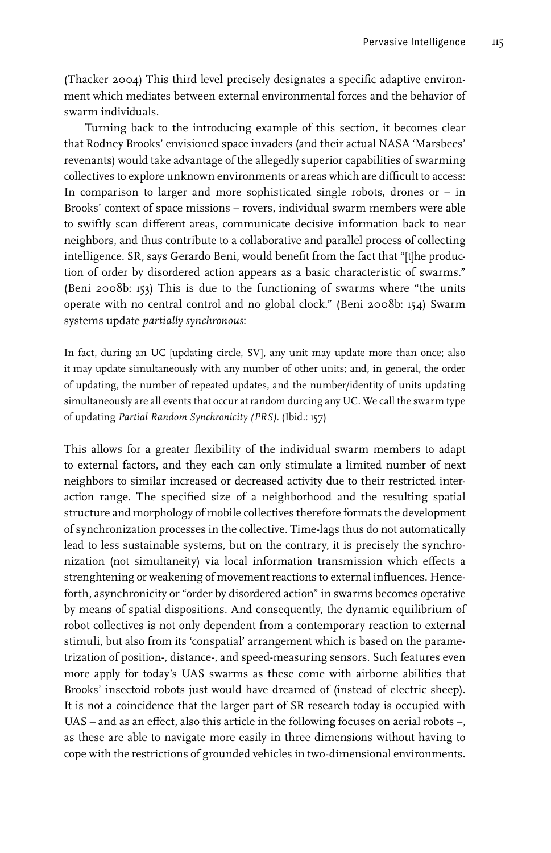(Thacker 2004) This third level precisely designates a specific adaptive environment which mediates between external environmental forces and the behavior of swarm individuals.

Turning back to the introducing example of this section, it becomes clear that Rodney Brooks' envisioned space invaders (and their actual NASA 'Marsbees' revenants) would take advantage of the allegedly superior capabilities of swarming collectives to explore unknown environments or areas which are difficult to access: In comparison to larger and more sophisticated single robots, drones or  $-$  in Brooks' context of space missions – rovers, individual swarm members were able to swiftly scan different areas, communicate decisive information back to near neighbors, and thus contribute to a collaborative and parallel process of collecting intelligence. SR, says Gerardo Beni, would benefit from the fact that "[t]he production of order by disordered action appears as a basic characteristic of swarms." (Beni 2008b: 153) This is due to the functioning of swarms where "the units operate with no central control and no global clock." (Beni 2008b: 154) Swarm systems update *partially synchronous*:

In fact, during an UC [updating circle, SV], any unit may update more than once; also it may update simultaneously with any number of other units; and, in general, the order of updating, the number of repeated updates, and the number/identity of units updating simultaneously are all events that occur at random durcing any UC. We call the swarm type of updating *Partial Random Synchronicity (PRS).* (Ibid.: 157)

This allows for a greater flexibility of the individual swarm members to adapt to external factors, and they each can only stimulate a limited number of next neighbors to similar increased or decreased activity due to their restricted interaction range. The specified size of a neighborhood and the resulting spatial structure and morphology of mobile collectives therefore formats the development of synchronization processes in the collective. Time-lags thus do not automatically lead to less sustainable systems, but on the contrary, it is precisely the synchronization (not simultaneity) via local information transmission which effects a strenghtening or weakening of movement reactions to external influences. Henceforth, asynchronicity or "order by disordered action" in swarms becomes operative by means of spatial dispositions. And consequently, the dynamic equilibrium of robot collectives is not only dependent from a contemporary reaction to external stimuli, but also from its 'conspatial' arrangement which is based on the parametrization of position-, distance-, and speed-measuring sensors. Such features even more apply for today's UAS swarms as these come with airborne abilities that Brooks' insectoid robots just would have dreamed of (instead of electric sheep). It is not a coincidence that the larger part of SR research today is occupied with UAS – and as an effect, also this article in the following focuses on aerial robots –, as these are able to navigate more easily in three dimensions without having to cope with the restrictions of grounded vehicles in two-dimensional environments.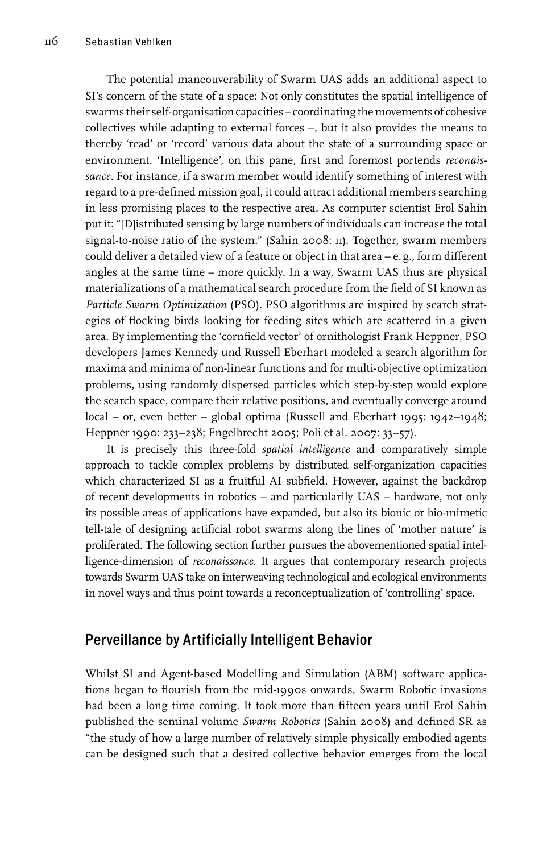The potential maneouverability of Swarm UAS adds an additional aspect to SI's concern of the state of a space: Not only constitutes the spatial intelligence of swarms their self-organisation capacities – coordinating the movements of cohesive collectives while adapting to external forces –, but it also provides the means to thereby 'read' or 'record' various data about the state of a surrounding space or environment. 'Intelligence', on this pane, first and foremost portends *reconaissance*. For instance, if a swarm member would identify something of interest with regard to a pre-defined mission goal, it could attract additional members searching in less promising places to the respective area. As computer scientist Erol Sahin put it: "[D]istributed sensing by large numbers of individuals can increase the total signal-to-noise ratio of the system." (Sahin 2008: 11). Together, swarm members could deliver a detailed view of a feature or object in that area – e. g., form different angles at the same time – more quickly. In a way, Swarm UAS thus are physical materializations of a mathematical search procedure from the field of SI known as *Particle Swarm Optimization* (PSO). PSO algorithms are inspired by search strategies of flocking birds looking for feeding sites which are scattered in a given area. By implementing the 'cornfield vector' of ornithologist Frank Heppner, PSO developers James Kennedy und Russell Eberhart modeled a search algorithm for maxima and minima of non-linear functions and for multi-objective optimization problems, using randomly dispersed particles which step-by-step would explore the search space, compare their relative positions, and eventually converge around local – or, even better – global optima (Russell and Eberhart 1995: 1942–1948; Heppner 1990: 233–238; Engelbrecht 2005; Poli et al. 2007: 33–57).

It is precisely this three-fold *spatial intelligence* and comparatively simple approach to tackle complex problems by distributed self-organization capacities which characterized SI as a fruitful AI subfield. However, against the backdrop of recent developments in robotics – and particularily UAS – hardware, not only its possible areas of applications have expanded, but also its bionic or bio-mimetic tell-tale of designing artificial robot swarms along the lines of 'mother nature' is proliferated. The following section further pursues the abovementioned spatial intelligence-dimension of *reconaissance*. It argues that contemporary research projects towards Swarm UAS take on interweaving technological and ecological environments in novel ways and thus point towards a reconceptualization of 'controlling' space.

#### Perveillance by Artificially Intelligent Behavior

Whilst SI and Agent-based Modelling and Simulation (ABM) software applications began to flourish from the mid-1990s onwards, Swarm Robotic invasions had been a long time coming. It took more than fifteen years until Erol Sahin published the seminal volume *Swarm Robotics* (Sahin 2008) and defined SR as "the study of how a large number of relatively simple physically embodied agents can be designed such that a desired collective behavior emerges from the local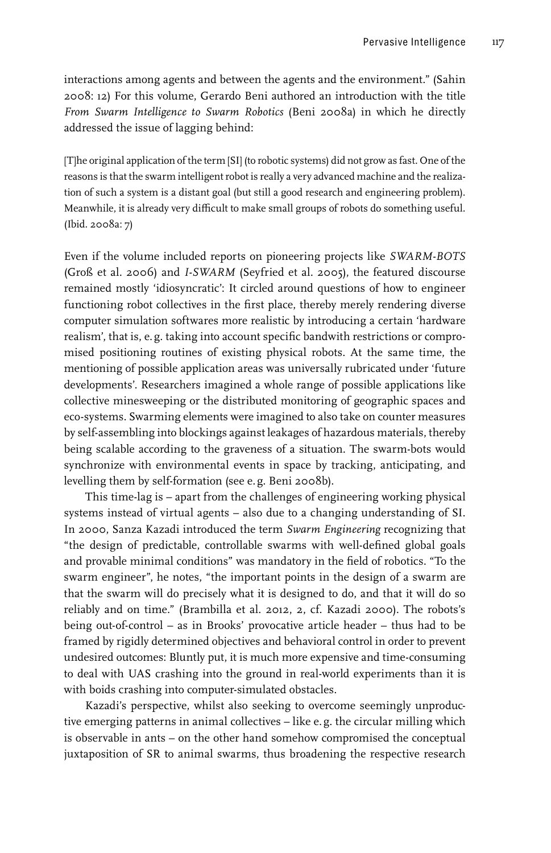interactions among agents and between the agents and the environment." (Sahin 2008: 12) For this volume, Gerardo Beni authored an introduction with the title *From Swarm Intelligence to Swarm Robotics* (Beni 2008a) in which he directly addressed the issue of lagging behind:

[T]he original application of the term [SI] (to robotic systems) did not grow as fast. One of the reasons is that the swarm intelligent robot is really a very advanced machine and the realization of such a system is a distant goal (but still a good research and engineering problem). Meanwhile, it is already very difficult to make small groups of robots do something useful. (Ibid. 2008a: 7)

Even if the volume included reports on pioneering projects like *SWARM-BOTS*  (Groß et al. 2006) and *I-SWARM* (Seyfried et al. 2005), the featured discourse remained mostly 'idiosyncratic': It circled around questions of how to engineer functioning robot collectives in the first place, thereby merely rendering diverse computer simulation softwares more realistic by introducing a certain 'hardware realism', that is, e. g. taking into account specific bandwith restrictions or compromised positioning routines of existing physical robots. At the same time, the mentioning of possible application areas was universally rubricated under 'future developments'. Researchers imagined a whole range of possible applications like collective minesweeping or the distributed monitoring of geographic spaces and eco-systems. Swarming elements were imagined to also take on counter measures by self-assembling into blockings against leakages of hazardous materials, thereby being scalable according to the graveness of a situation. The swarm-bots would synchronize with environmental events in space by tracking, anticipating, and levelling them by self-formation (see e.g. Beni 2008b).

This time-lag is – apart from the challenges of engineering working physical systems instead of virtual agents – also due to a changing understanding of SI. In 2000, Sanza Kazadi introduced the term *Swarm Engineering* recognizing that "the design of predictable, controllable swarms with well-defined global goals and provable minimal conditions" was mandatory in the field of robotics. "To the swarm engineer", he notes, "the important points in the design of a swarm are that the swarm will do precisely what it is designed to do, and that it will do so reliably and on time." (Brambilla et al. 2012, 2, cf. Kazadi 2000). The robots's being out-of-control – as in Brooks' provocative article header – thus had to be framed by rigidly determined objectives and behavioral control in order to prevent undesired outcomes: Bluntly put, it is much more expensive and time-consuming to deal with UAS crashing into the ground in real-world experiments than it is with boids crashing into computer-simulated obstacles.

Kazadi's perspective, whilst also seeking to overcome seemingly unproductive emerging patterns in animal collectives – like e. g. the circular milling which is observable in ants – on the other hand somehow compromised the conceptual juxtaposition of SR to animal swarms, thus broadening the respective research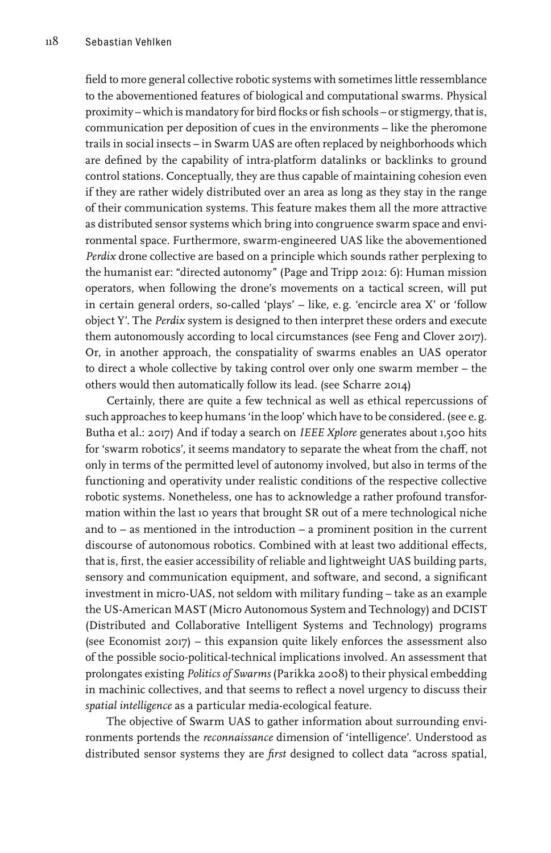field to more general collective robotic systems with sometimes little ressemblance to the abovementioned features of biological and computational swarms. Physical proximity – which is mandatory for bird flocks or fish schools – or stigmergy, that is, communication per deposition of cues in the environments – like the pheromone trails in social insects – in Swarm UAS are often replaced by neighborhoods which are defined by the capability of intra-platform datalinks or backlinks to ground control stations. Conceptually, they are thus capable of maintaining cohesion even if they are rather widely distributed over an area as long as they stay in the range of their communication systems. This feature makes them all the more attractive as distributed sensor systems which bring into congruence swarm space and environmental space. Furthermore, swarm-engineered UAS like the abovementioned *Perdix* drone collective are based on a principle which sounds rather perplexing to the humanist ear: "directed autonomy" (Page and Tripp 2012: 6): Human mission operators, when following the drone's movements on a tactical screen, will put in certain general orders, so-called 'plays' – like, e.g. 'encircle area X' or 'follow object Y'. The *Perdix* system is designed to then interpret these orders and execute them autonomously according to local circumstances (see Feng and Clover 2017). Or, in another approach, the conspatiality of swarms enables an UAS operator to direct a whole collective by taking control over only one swarm member – the others would then automatically follow its lead. (see Scharre 2014)

Certainly, there are quite a few technical as well as ethical repercussions of such approaches to keep humans 'in the loop' which have to be considered. (see e.g. Butha et al.: 2017) And if today a search on *IEEE Xplore* generates about 1,500 hits for 'swarm robotics', it seems mandatory to separate the wheat from the chaff, not only in terms of the permitted level of autonomy involved, but also in terms of the functioning and operativity under realistic conditions of the respective collective robotic systems. Nonetheless, one has to acknowledge a rather profound transformation within the last 10 years that brought SR out of a mere technological niche and to – as mentioned in the introduction – a prominent position in the current discourse of autonomous robotics. Combined with at least two additional effects, that is, first, the easier accessibility of reliable and lightweight UAS building parts, sensory and communication equipment, and software, and second, a significant investment in micro-UAS, not seldom with military funding – take as an example the US-American MAST (Micro Autonomous System and Technology) and DCIST (Distributed and Collaborative Intelligent Systems and Technology) programs (see Economist 2017) – this expansion quite likely enforces the assessment also of the possible socio-political-technical implications involved. An assessment that prolongates existing *Politics of Swarms* (Parikka 2008) to their physical embedding in machinic collectives, and that seems to reflect a novel urgency to discuss their *spatial intelligence* as a particular media-ecological feature.

The objective of Swarm UAS to gather information about surrounding environments portends the *reconnaissance* dimension of 'intelligence'. Understood as distributed sensor systems they are *first* designed to collect data "across spatial,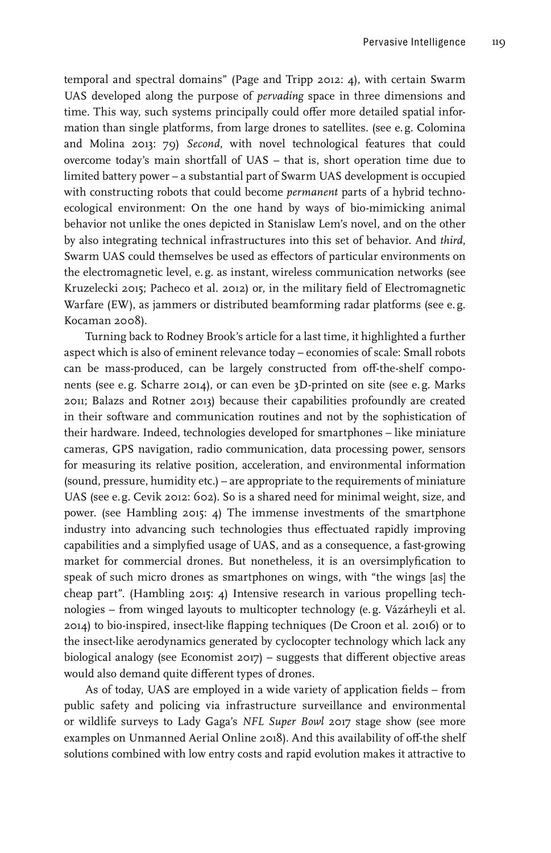temporal and spectral domains" (Page and Tripp 2012: 4), with certain Swarm UAS developed along the purpose of *pervading* space in three dimensions and time. This way, such systems principally could offer more detailed spatial information than single platforms, from large drones to satellites. (see e.g. Colomina and Molina 2013: 79) *Second*, with novel technological features that could overcome today's main shortfall of UAS – that is, short operation time due to limited battery power – a substantial part of Swarm UAS development is occupied with constructing robots that could become *permanent* parts of a hybrid technoecological environment: On the one hand by ways of bio-mimicking animal behavior not unlike the ones depicted in Stanislaw Lem's novel, and on the other by also integrating technical infrastructures into this set of behavior. And *third*, Swarm UAS could themselves be used as effectors of particular environments on the electromagnetic level, e.g. as instant, wireless communication networks (see Kruzelecki 2015; Pacheco et al. 2012) or, in the military field of Electromagnetic Warfare (EW), as jammers or distributed beamforming radar platforms (see e.g. Kocaman 2008).

Turning back to Rodney Brook's article for a last time, it highlighted a further aspect which is also of eminent relevance today – economies of scale: Small robots can be mass-produced, can be largely constructed from off-the-shelf components (see e.g. Scharre 2014), or can even be 3D-printed on site (see e. g. Marks 2011; Balazs and Rotner 2013) because their capabilities profoundly are created in their software and communication routines and not by the sophistication of their hardware. Indeed, technologies developed for smartphones – like miniature cameras, GPS navigation, radio communication, data processing power, sensors for measuring its relative position, acceleration, and environmental information (sound, pressure, humidity etc.) – are appropriate to the requirements of miniature UAS (see e.g. Cevik 2012: 602). So is a shared need for minimal weight, size, and power. (see Hambling 2015: 4) The immense investments of the smartphone industry into advancing such technologies thus effectuated rapidly improving capabilities and a simplyfied usage of UAS, and as a consequence, a fast-growing market for commercial drones. But nonetheless, it is an oversimplyfication to speak of such micro drones as smartphones on wings, with "the wings [as] the cheap part". (Hambling 2015: 4) Intensive research in various propelling technologies – from winged layouts to multicopter technology (e.g. Vázárheyli et al. 2014) to bio-inspired, insect-like flapping techniques (De Croon et al. 2016) or to the insect-like aerodynamics generated by cyclocopter technology which lack any biological analogy (see Economist 2017) – suggests that different objective areas would also demand quite different types of drones.

As of today, UAS are employed in a wide variety of application fields – from public safety and policing via infrastructure surveillance and environmental or wildlife surveys to Lady Gaga's *NFL Super Bowl* 2017 stage show (see more examples on Unmanned Aerial Online 2018). And this availability of off-the shelf solutions combined with low entry costs and rapid evolution makes it attractive to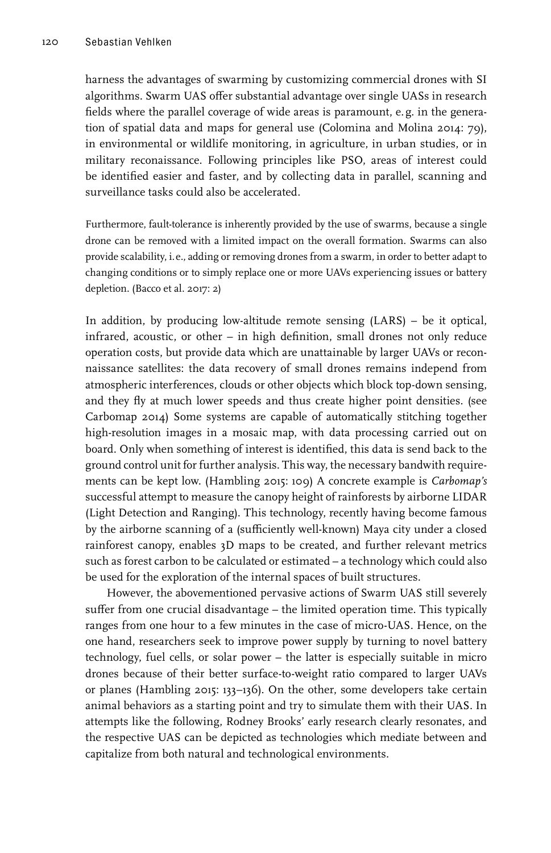harness the advantages of swarming by customizing commercial drones with SI algorithms. Swarm UAS offer substantial advantage over single UASs in research fields where the parallel coverage of wide areas is paramount, e.g. in the generation of spatial data and maps for general use (Colomina and Molina 2014: 79), in environmental or wildlife monitoring, in agriculture, in urban studies, or in military reconaissance. Following principles like PSO, areas of interest could be identified easier and faster, and by collecting data in parallel, scanning and surveillance tasks could also be accelerated.

Furthermore, fault-tolerance is inherently provided by the use of swarms, because a single drone can be removed with a limited impact on the overall formation. Swarms can also provide scalability, i.e., adding or removing drones from a swarm, in order to better adapt to changing conditions or to simply replace one or more UAVs experiencing issues or battery depletion. (Bacco et al. 2017: 2)

In addition, by producing low-altitude remote sensing (LARS) – be it optical, infrared, acoustic, or other  $-$  in high definition, small drones not only reduce operation costs, but provide data which are unattainable by larger UAVs or reconnaissance satellites: the data recovery of small drones remains independ from atmospheric interferences, clouds or other objects which block top-down sensing, and they fly at much lower speeds and thus create higher point densities. (see Carbomap 2014) Some systems are capable of automatically stitching together high-resolution images in a mosaic map, with data processing carried out on board. Only when something of interest is identified, this data is send back to the ground control unit for further analysis. This way, the necessary bandwith requirements can be kept low. (Hambling 2015: 109) A concrete example is *Carbomap's* successful attempt to measure the canopy height of rainforests by airborne LIDAR (Light Detection and Ranging). This technology, recently having become famous by the airborne scanning of a (sufficiently well-known) Maya city under a closed rainforest canopy, enables 3D maps to be created, and further relevant metrics such as forest carbon to be calculated or estimated – a technology which could also be used for the exploration of the internal spaces of built structures.

However, the abovementioned pervasive actions of Swarm UAS still severely suffer from one crucial disadvantage – the limited operation time. This typically ranges from one hour to a few minutes in the case of micro-UAS. Hence, on the one hand, researchers seek to improve power supply by turning to novel battery technology, fuel cells, or solar power – the latter is especially suitable in micro drones because of their better surface-to-weight ratio compared to larger UAVs or planes (Hambling 2015: 133–136). On the other, some developers take certain animal behaviors as a starting point and try to simulate them with their UAS. In attempts like the following, Rodney Brooks' early research clearly resonates, and the respective UAS can be depicted as technologies which mediate between and capitalize from both natural and technological environments.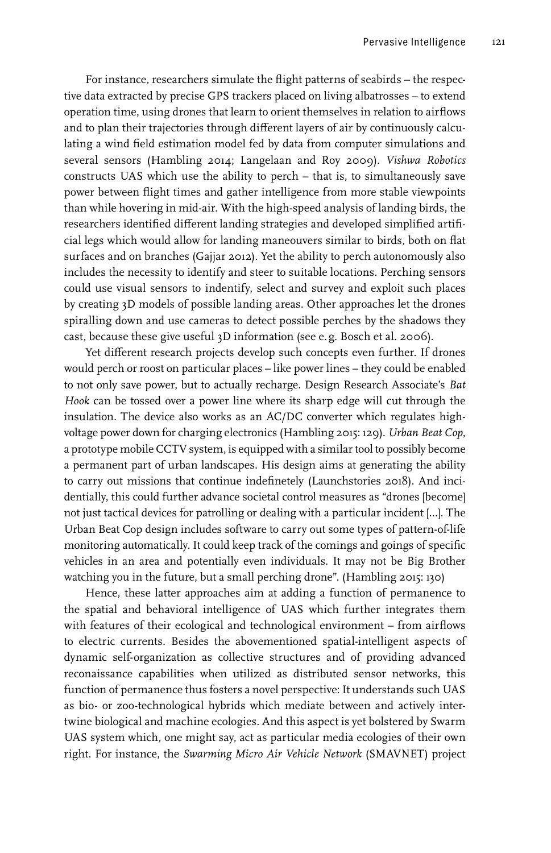For instance, researchers simulate the flight patterns of seabirds – the respective data extracted by precise GPS trackers placed on living albatrosses – to extend operation time, using drones that learn to orient themselves in relation to airflows and to plan their trajectories through different layers of air by continuously calculating a wind field estimation model fed by data from computer simulations and several sensors (Hambling 2014; Langelaan and Roy 2009). *Vishwa Robotics* constructs UAS which use the ability to perch – that is, to simultaneously save power between flight times and gather intelligence from more stable viewpoints than while hovering in mid-air. With the high-speed analysis of landing birds, the researchers identified different landing strategies and developed simplified artificial legs which would allow for landing maneouvers similar to birds, both on flat surfaces and on branches (Gajjar 2012). Yet the ability to perch autonomously also includes the necessity to identify and steer to suitable locations. Perching sensors could use visual sensors to indentify, select and survey and exploit such places by creating 3D models of possible landing areas. Other approaches let the drones spiralling down and use cameras to detect possible perches by the shadows they cast, because these give useful 3D information (see e.g. Bosch et al. 2006).

Yet different research projects develop such concepts even further. If drones would perch or roost on particular places – like power lines – they could be enabled to not only save power, but to actually recharge. Design Research Associate's *Bat Hook* can be tossed over a power line where its sharp edge will cut through the insulation. The device also works as an AC/DC converter which regulates highvoltage power down for charging electronics (Hambling 2015: 129). *Urban Beat Cop*, a prototype mobile CCTV system, is equipped with a similar tool to possibly become a permanent part of urban landscapes. His design aims at generating the ability to carry out missions that continue indefinetely (Launchstories 2018). And incidentially, this could further advance societal control measures as "drones [become] not just tactical devices for patrolling or dealing with a particular incident […]. The Urban Beat Cop design includes software to carry out some types of pattern-of-life monitoring automatically. It could keep track of the comings and goings of specific vehicles in an area and potentially even individuals. It may not be Big Brother watching you in the future, but a small perching drone". (Hambling 2015: 130)

Hence, these latter approaches aim at adding a function of permanence to the spatial and behavioral intelligence of UAS which further integrates them with features of their ecological and technological environment – from airflows to electric currents. Besides the abovementioned spatial-intelligent aspects of dynamic self-organization as collective structures and of providing advanced reconaissance capabilities when utilized as distributed sensor networks, this function of permanence thus fosters a novel perspective: It understands such UAS as bio- or zoo-technological hybrids which mediate between and actively intertwine biological and machine ecologies. And this aspect is yet bolstered by Swarm UAS system which, one might say, act as particular media ecologies of their own right. For instance, the *Swarming Micro Air Vehicle Network* (SMAVNET) project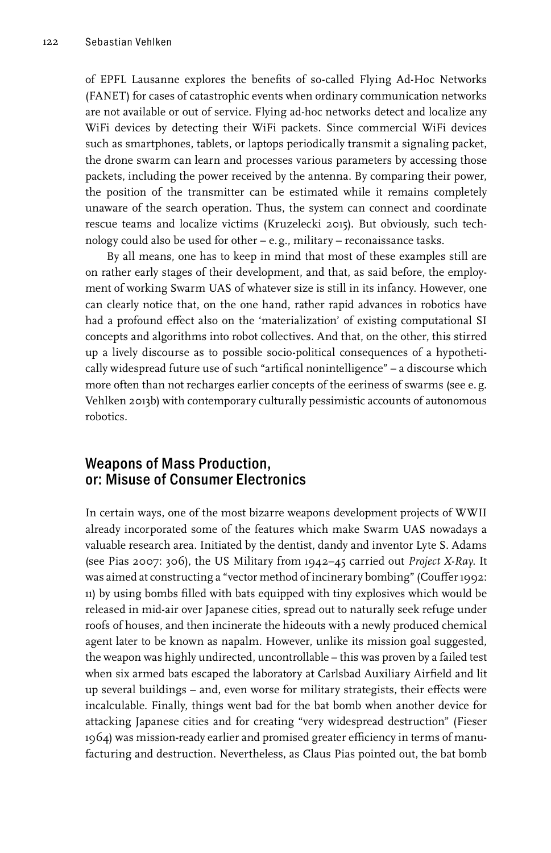of EPFL Lausanne explores the benefits of so-called Flying Ad-Hoc Networks (FANET) for cases of catastrophic events when ordinary communication networks are not available or out of service. Flying ad-hoc networks detect and localize any WiFi devices by detecting their WiFi packets. Since commercial WiFi devices such as smartphones, tablets, or laptops periodically transmit a signaling packet, the drone swarm can learn and processes various parameters by accessing those packets, including the power received by the antenna. By comparing their power, the position of the transmitter can be estimated while it remains completely unaware of the search operation. Thus, the system can connect and coordinate rescue teams and localize victims (Kruzelecki 2015). But obviously, such technology could also be used for other – e.g., military – reconaissance tasks.

By all means, one has to keep in mind that most of these examples still are on rather early stages of their development, and that, as said before, the employment of working Swarm UAS of whatever size is still in its infancy. However, one can clearly notice that, on the one hand, rather rapid advances in robotics have had a profound effect also on the 'materialization' of existing computational SI concepts and algorithms into robot collectives. And that, on the other, this stirred up a lively discourse as to possible socio-political consequences of a hypothetically widespread future use of such "artifical nonintelligence" – a discourse which more often than not recharges earlier concepts of the eeriness of swarms (see e. g. Vehlken 2013b) with contemporary culturally pessimistic accounts of autonomous robotics.

#### Weapons of Mass Production, or: Misuse of Consumer Electronics

In certain ways, one of the most bizarre weapons development projects of WWII already incorporated some of the features which make Swarm UAS nowadays a valuable research area. Initiated by the dentist, dandy and inventor Lyte S. Adams (see Pias 2007: 306), the US Military from 1942–45 carried out *Project X-Ray*. It was aimed at constructing a "vector method of incinerary bombing" (Couffer 1992: 11) by using bombs filled with bats equipped with tiny explosives which would be released in mid-air over Japanese cities, spread out to naturally seek refuge under roofs of houses, and then incinerate the hideouts with a newly produced chemical agent later to be known as napalm. However, unlike its mission goal suggested, the weapon was highly undirected, uncontrollable – this was proven by a failed test when six armed bats escaped the laboratory at Carlsbad Auxiliary Airfield and lit up several buildings – and, even worse for military strategists, their effects were incalculable. Finally, things went bad for the bat bomb when another device for attacking Japanese cities and for creating "very widespread destruction" (Fieser 1964) was mission-ready earlier and promised greater efficiency in terms of manufacturing and destruction. Nevertheless, as Claus Pias pointed out, the bat bomb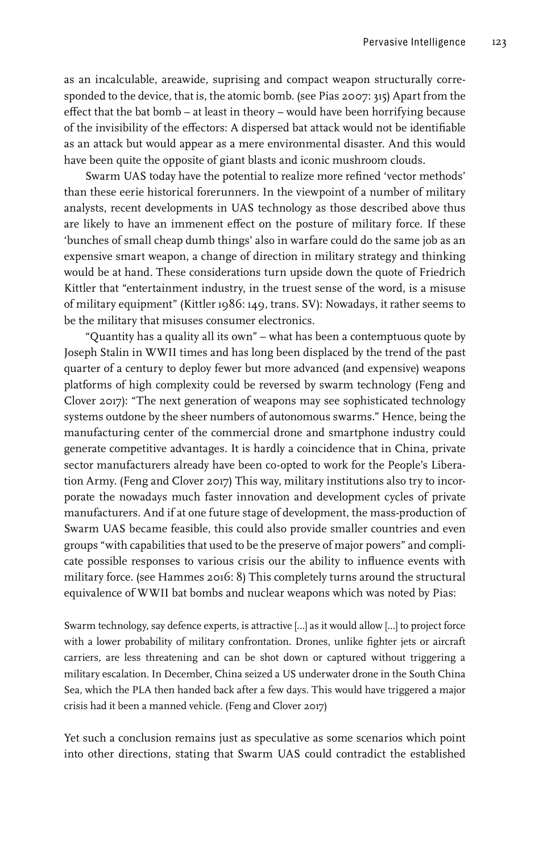as an incalculable, areawide, suprising and compact weapon structurally corresponded to the device, that is, the atomic bomb. (see Pias 2007: 315) Apart from the effect that the bat bomb – at least in theory – would have been horrifying because of the invisibility of the effectors: A dispersed bat attack would not be identifiable as an attack but would appear as a mere environmental disaster. And this would have been quite the opposite of giant blasts and iconic mushroom clouds.

Swarm UAS today have the potential to realize more refined 'vector methods' than these eerie historical forerunners. In the viewpoint of a number of military analysts, recent developments in UAS technology as those described above thus are likely to have an immenent effect on the posture of military force. If these 'bunches of small cheap dumb things' also in warfare could do the same job as an expensive smart weapon, a change of direction in military strategy and thinking would be at hand. These considerations turn upside down the quote of Friedrich Kittler that "entertainment industry, in the truest sense of the word, is a misuse of military equipment" (Kittler 1986: 149, trans. SV): Nowadays, it rather seems to be the military that misuses consumer electronics.

"Quantity has a quality all its own" – what has been a contemptuous quote by Joseph Stalin in WWII times and has long been displaced by the trend of the past quarter of a century to deploy fewer but more advanced (and expensive) weapons platforms of high complexity could be reversed by swarm technology (Feng and Clover 2017): "The next generation of weapons may see sophisticated technology systems outdone by the sheer numbers of autonomous swarms." Hence, being the manufacturing center of the commercial drone and smartphone industry could generate competitive advantages. It is hardly a coincidence that in China, private sector manufacturers already have been co-opted to work for the People's Liberation Army. (Feng and Clover 2017) This way, military institutions also try to incorporate the nowadays much faster innovation and development cycles of private manufacturers. And if at one future stage of development, the mass-production of Swarm UAS became feasible, this could also provide smaller countries and even groups "with capabilities that used to be the preserve of major powers" and complicate possible responses to various crisis our the ability to influence events with military force. (see Hammes 2016: 8) This completely turns around the structural equivalence of WWII bat bombs and nuclear weapons which was noted by Pias:

Swarm technology, say defence experts, is attractive […] as it would allow […] to project force with a lower probability of military confrontation. Drones, unlike fighter jets or aircraft carriers, are less threatening and can be shot down or captured without triggering a military escalation. In December, China seized a US underwater drone in the South China Sea, which the PLA then handed back after a few days. This would have triggered a major crisis had it been a manned vehicle. (Feng and Clover 2017)

Yet such a conclusion remains just as speculative as some scenarios which point into other directions, stating that Swarm UAS could contradict the established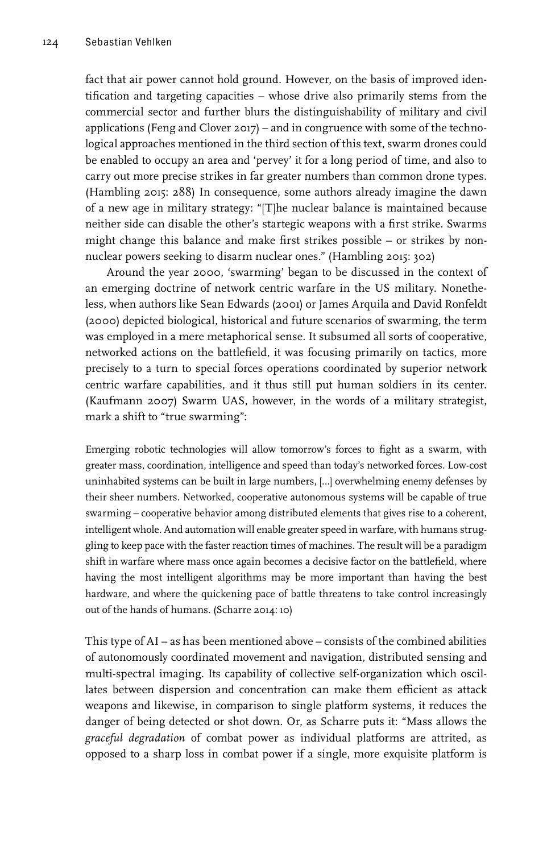fact that air power cannot hold ground. However, on the basis of improved identification and targeting capacities – whose drive also primarily stems from the commercial sector and further blurs the distinguishability of military and civil applications (Feng and Clover 2017) – and in congruence with some of the technological approaches mentioned in the third section of this text, swarm drones could be enabled to occupy an area and 'pervey' it for a long period of time, and also to carry out more precise strikes in far greater numbers than common drone types. (Hambling 2015: 288) In consequence, some authors already imagine the dawn of a new age in military strategy: "[T]he nuclear balance is maintained because neither side can disable the other's startegic weapons with a first strike. Swarms might change this balance and make first strikes possible – or strikes by nonnuclear powers seeking to disarm nuclear ones." (Hambling 2015: 302)

Around the year 2000, 'swarming' began to be discussed in the context of an emerging doctrine of network centric warfare in the US military. Nonetheless, when authors like Sean Edwards (2001) or James Arquila and David Ronfeldt (2000) depicted biological, historical and future scenarios of swarming, the term was employed in a mere metaphorical sense. It subsumed all sorts of cooperative, networked actions on the battlefield, it was focusing primarily on tactics, more precisely to a turn to special forces operations coordinated by superior network centric warfare capabilities, and it thus still put human soldiers in its center. (Kaufmann 2007) Swarm UAS, however, in the words of a military strategist, mark a shift to "true swarming":

Emerging robotic technologies will allow tomorrow's forces to fight as a swarm, with greater mass, coordination, intelligence and speed than today's networked forces. Low-cost uninhabited systems can be built in large numbers, […] overwhelming enemy defenses by their sheer numbers. Networked, cooperative autonomous systems will be capable of true swarming – cooperative behavior among distributed elements that gives rise to a coherent, intelligent whole. And automation will enable greater speed in warfare, with humans struggling to keep pace with the faster reaction times of machines. The result will be a paradigm shift in warfare where mass once again becomes a decisive factor on the battlefield, where having the most intelligent algorithms may be more important than having the best hardware, and where the quickening pace of battle threatens to take control increasingly out of the hands of humans. (Scharre 2014: 10)

This type of AI – as has been mentioned above – consists of the combined abilities of autonomously coordinated movement and navigation, distributed sensing and multi-spectral imaging. Its capability of collective self-organization which oscillates between dispersion and concentration can make them efficient as attack weapons and likewise, in comparison to single platform systems, it reduces the danger of being detected or shot down. Or, as Scharre puts it: "Mass allows the *graceful degradation* of combat power as individual platforms are attrited, as opposed to a sharp loss in combat power if a single, more exquisite platform is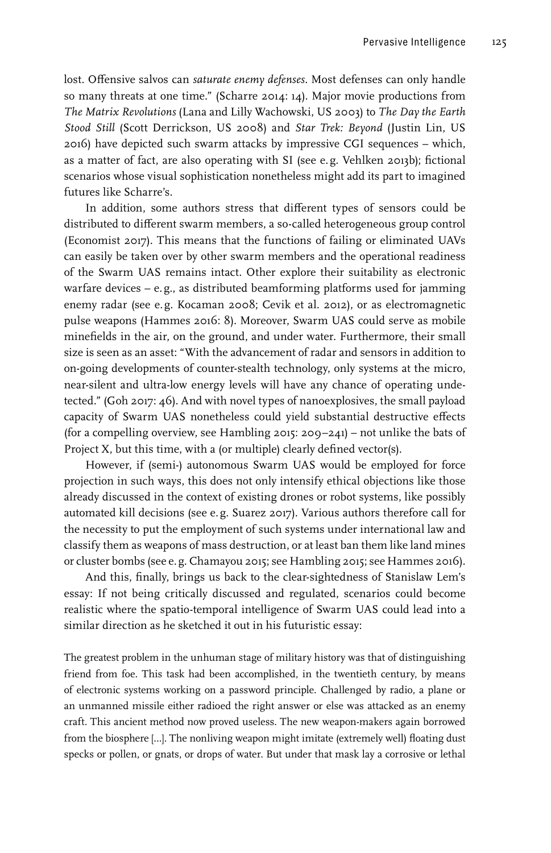lost. Offensive salvos can *saturate enemy defenses.* Most defenses can only handle so many threats at one time." (Scharre 2014: 14). Major movie productions from *The Matrix Revolutions* (Lana and Lilly Wachowski, US 2003) to *The Day the Earth Stood Still* (Scott Derrickson, US 2008) and *Star Trek: Beyond* (Justin Lin, US 2016) have depicted such swarm attacks by impressive CGI sequences – which, as a matter of fact, are also operating with SI (see e. g. Vehlken 2013b); fictional scenarios whose visual sophistication nonetheless might add its part to imagined futures like Scharre's.

In addition, some authors stress that different types of sensors could be distributed to different swarm members, a so-called heterogeneous group control (Economist 2017). This means that the functions of failing or eliminated UAVs can easily be taken over by other swarm members and the operational readiness of the Swarm UAS remains intact. Other explore their suitability as electronic warfare devices – e.g., as distributed beamforming platforms used for jamming enemy radar (see e.g. Kocaman 2008; Cevik et al. 2012), or as electromagnetic pulse weapons (Hammes 2016: 8). Moreover, Swarm UAS could serve as mobile minefields in the air, on the ground, and under water. Furthermore, their small size is seen as an asset: "With the advancement of radar and sensors in addition to on-going developments of counter-stealth technology, only systems at the micro, near-silent and ultra-low energy levels will have any chance of operating undetected." (Goh 2017: 46). And with novel types of nanoexplosives, the small payload capacity of Swarm UAS nonetheless could yield substantial destructive effects (for a compelling overview, see Hambling 2015: 209–241) – not unlike the bats of Project X, but this time, with a (or multiple) clearly defined vector(s).

However, if (semi-) autonomous Swarm UAS would be employed for force projection in such ways, this does not only intensify ethical objections like those already discussed in the context of existing drones or robot systems, like possibly automated kill decisions (see e. g. Suarez 2017). Various authors therefore call for the necessity to put the employment of such systems under international law and classify them as weapons of mass destruction, or at least ban them like land mines or cluster bombs (see e.g. Chamayou 2015; see Hambling 2015; see Hammes 2016).

And this, finally, brings us back to the clear-sightedness of Stanislaw Lem's essay: If not being critically discussed and regulated, scenarios could become realistic where the spatio-temporal intelligence of Swarm UAS could lead into a similar direction as he sketched it out in his futuristic essay:

The greatest problem in the unhuman stage of military history was that of distinguishing friend from foe. This task had been accomplished, in the twentieth century, by means of electronic systems working on a password principle. Challenged by radio, a plane or an unmanned missile either radioed the right answer or else was attacked as an enemy craft. This ancient method now proved useless. The new weapon-makers again borrowed from the biosphere […]. The nonliving weapon might imitate (extremely well) floating dust specks or pollen, or gnats, or drops of water. But under that mask lay a corrosive or lethal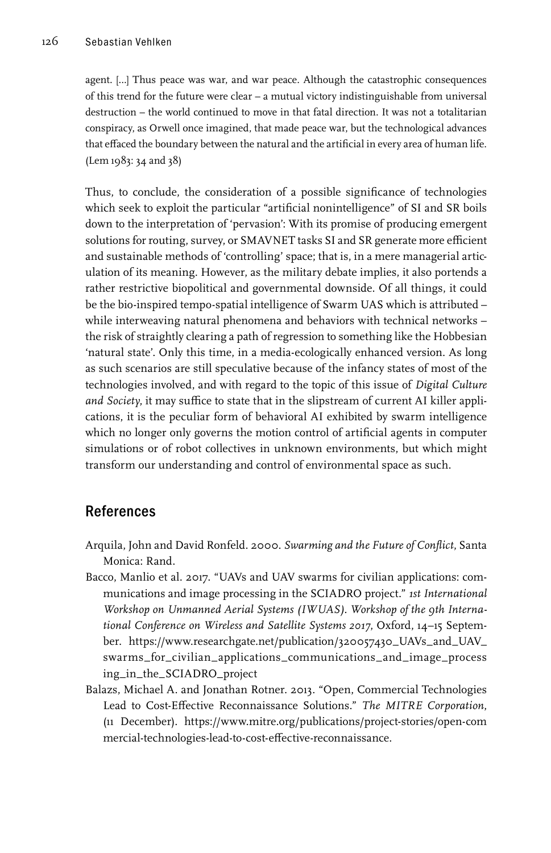agent. […] Thus peace was war, and war peace. Although the catastrophic consequences of this trend for the future were clear – a mutual victory indistinguishable from universal destruction – the world continued to move in that fatal direction. It was not a totalitarian conspiracy, as Orwell once imagined, that made peace war, but the technological advances that effaced the boundary between the natural and the artificial in every area of human life. (Lem 1983: 34 and 38)

Thus, to conclude, the consideration of a possible significance of technologies which seek to exploit the particular "artificial nonintelligence" of SI and SR boils down to the interpretation of 'pervasion': With its promise of producing emergent solutions for routing, survey, or SMAVNET tasks SI and SR generate more efficient and sustainable methods of 'controlling' space; that is, in a mere managerial articulation of its meaning. However, as the military debate implies, it also portends a rather restrictive biopolitical and governmental downside. Of all things, it could be the bio-inspired tempo-spatial intelligence of Swarm UAS which is attributed – while interweaving natural phenomena and behaviors with technical networks – the risk of straightly clearing a path of regression to something like the Hobbesian 'natural state'. Only this time, in a media-ecologically enhanced version. As long as such scenarios are still speculative because of the infancy states of most of the technologies involved, and with regard to the topic of this issue of *Digital Culture and Society*, it may suffice to state that in the slipstream of current AI killer applications, it is the peculiar form of behavioral AI exhibited by swarm intelligence which no longer only governs the motion control of artificial agents in computer simulations or of robot collectives in unknown environments, but which might transform our understanding and control of environmental space as such.

## References

- Arquila, John and David Ronfeld. 2000. *Swarming and the Future of Conflict*, Santa Monica: Rand.
- Bacco, Manlio et al. 2017. "UAVs and UAV swarms for civilian applications: communications and image processing in the SCIADRO project." *1st International Workshop on Unmanned Aerial Systems (IWUAS). Workshop of the 9th International Conference on Wireless and Satellite Systems 2017*, Oxford, 14–15 September. [https://www.researchgate.net/publication/320057430\\_UAVs\\_and\\_UAV\\_](https://www.researchgate.net/publication/320057430_UAVs_and_UAV_swarms_for_civilian_applications_communications_and_image_processing_in_the_SCIADRO_project) [swarms\\_for\\_civilian\\_applications\\_communications\\_and\\_image\\_process](https://www.researchgate.net/publication/320057430_UAVs_and_UAV_swarms_for_civilian_applications_communications_and_image_processing_in_the_SCIADRO_project) [ing\\_in\\_the\\_SCIADRO\\_project](https://www.researchgate.net/publication/320057430_UAVs_and_UAV_swarms_for_civilian_applications_communications_and_image_processing_in_the_SCIADRO_project)
- Balazs, Michael A. and Jonathan Rotner. 2013. "Open, Commercial Technologies Lead to Cost-Effective Reconnaissance Solutions." *The MITRE Corporation*, (11 December). [https://www.mitre.org/publications/project-stories/open-com](https://www.mitre.org/publications/project-stories/open-commercial-technologies-lead-to-cost-effective-reconnaissance) [mercial-technologies-lead-to-cost-effective-reconnaissance](https://www.mitre.org/publications/project-stories/open-commercial-technologies-lead-to-cost-effective-reconnaissance).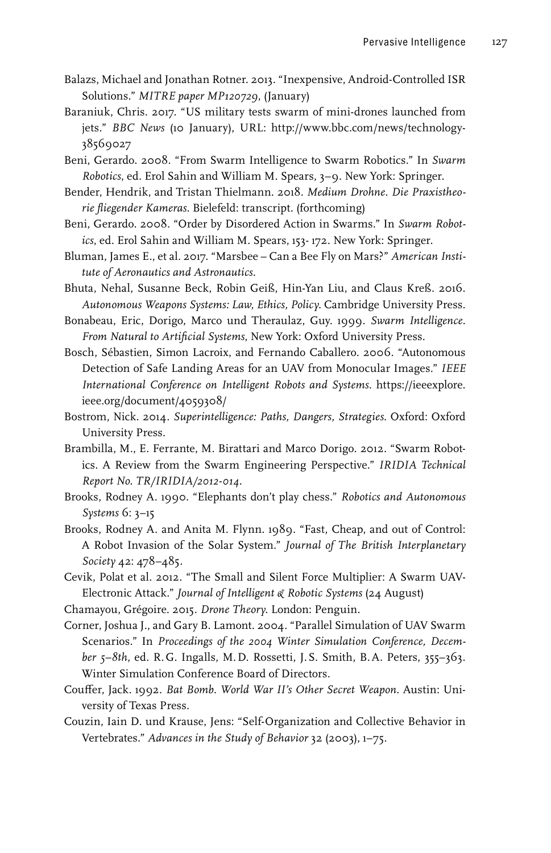- Balazs, Michael and Jonathan Rotner. 2013. "Inexpensive, Android-Controlled ISR Solutions." *MITRE paper MP120729*, (January)
- Baraniuk, Chris. 2017. "US military tests swarm of mini-drones launched from jets." *BBC News* (10 January), URL: [http://www.bbc.com/news/technology-](http://www.bbc.com/news/technology-38569027)[38569027](http://www.bbc.com/news/technology-38569027)
- Beni, Gerardo. 2008. "From Swarm Intelligence to Swarm Robotics." In *Swarm Robotics*, ed. Erol Sahin and William M. Spears, 3–9. New York: Springer.
- Bender, Hendrik, and Tristan Thielmann. 2018. *Medium Drohne. Die Praxistheorie fliegender Kameras*. Bielefeld: transcript. (forthcoming)
- Beni, Gerardo. 2008. "Order by Disordered Action in Swarms." In *Swarm Robotics*, ed. Erol Sahin and William M. Spears, 153- 172. New York: Springer.
- Bluman, James E., et al. 2017. "Marsbee Can a Bee Fly on Mars?" *American Institute of Aeronautics and Astronautics*.
- Bhuta, Nehal, Susanne Beck, Robin Geiß, Hin-Yan Liu, and Claus Kreß. 2016. *Autonomous Weapons Systems: Law, Ethics, Policy*. Cambridge University Press.
- Bonabeau, Eric, Dorigo, Marco und Theraulaz, Guy. 1999. *Swarm Intelligence. From Natural to Artificial Systems*, New York: Oxford University Press.
- Bosch, Sébastien, Simon Lacroix, and Fernando Caballero. 2006. "Autonomous Detection of Safe Landing Areas for an UAV from Monocular Images." *IEEE International Conference on Intelligent Robots and Systems*. [https://ieeexplore.](https://ieeexplore.ieee.org/document/4059308/) [ieee.org/document/4059308/](https://ieeexplore.ieee.org/document/4059308/)
- Bostrom, Nick. 2014. *Superintelligence: Paths, Dangers, Strategies*. Oxford: Oxford University Press.
- Brambilla, M., E. Ferrante, M. Birattari and Marco Dorigo. 2012. "Swarm Robotics. A Review from the Swarm Engineering Perspective." *IRIDIA Technical Report No. TR/IRIDIA/2012-014*.
- Brooks, Rodney A. 1990. "Elephants don't play chess." *Robotics and Autonomous Systems* 6: 3–15
- Brooks, Rodney A. and Anita M. Flynn. 1989. "Fast, Cheap, and out of Control: A Robot Invasion of the Solar System." *Journal of The British Interplanetary Society* 42: 478–485.
- Cevik, Polat et al. 2012. "The Small and Silent Force Multiplier: A Swarm UAV-Electronic Attack." *Journal of Intelligent & Robotic Systems* (24 August)
- Chamayou, Grégoire. 2015. *Drone Theory*. London: Penguin.
- Corner, Joshua J., and Gary B. Lamont. 2004. "Parallel Simulation of UAV Swarm Scenarios." In *Proceedings of the 2004 Winter Simulation Conference, December 5–8th*, ed. R.G. Ingalls, M.D. Rossetti, J.S. Smith, B.A. Peters, 355–363. Winter Simulation Conference Board of Directors.
- Couffer, Jack. 1992. *Bat Bomb. World War II's Other Secret Weapon*. Austin: University of Texas Press.
- Couzin, Iain D. und Krause, Jens: "Self-Organization and Collective Behavior in Vertebrates." *Advances in the Study of Behavior* 32 (2003), 1–75.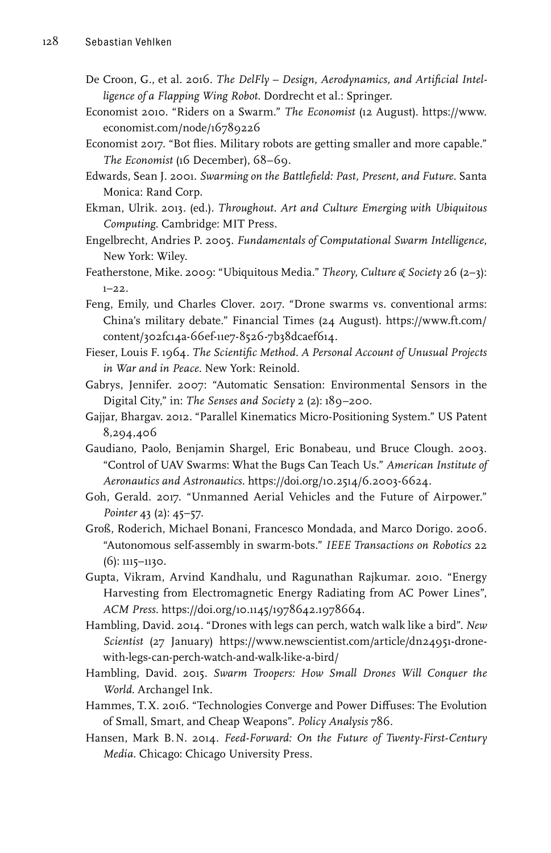- De Croon, G., et al. 2016. *The DelFly Design, Aerodynamics, and Artificial Intelligence of a Flapping Wing Robot*. Dordrecht et al.: Springer.
- Economist 2010. "Riders on a Swarm." *The Economist* (12 August). [https://www.](https://www.economist.com/node/16789226) [economist.com/node/16789226](https://www.economist.com/node/16789226)
- Economist 2017. "Bot flies. Military robots are getting smaller and more capable." *The Economist* (16 December), 68–69.
- Edwards, Sean J. 2001. *Swarming on the Battlefield: Past, Present, and Future*. Santa Monica: Rand Corp.
- Ekman, Ulrik. 2013. (ed.). *Throughout. Art and Culture Emerging with Ubiquitous Computing*. Cambridge: MIT Press.
- Engelbrecht, Andries P. 2005. *Fundamentals of Computational Swarm Intelligence*, New York: Wiley.
- Featherstone, Mike. 2009: "Ubiquitous Media." *Theory, Culture & Society* 26 (2–3):  $1 - 22.$
- Feng, Emily, und Charles Clover. 2017. "Drone swarms vs. conventional arms: China's military debate." Financial Times (24 August). [https://www.ft.com/](https://www.ft.com/content/302fc14a-66ef-11e7-8526-7b38dcaef614) [content/302fc14a-66ef-11e7-8526-7b38dcaef614](https://www.ft.com/content/302fc14a-66ef-11e7-8526-7b38dcaef614).
- Fieser, Louis F. 1964. *The Scientific Method. A Personal Account of Unusual Projects in War and in Peace*. New York: Reinold.
- Gabrys, Jennifer. 2007: "Automatic Sensation: Environmental Sensors in the Digital City," in: *The Senses and Society* 2 (2): 189–200.
- Gajjar, Bhargav. 2012. "Parallel Kinematics Micro-Positioning System." US Patent 8,294,406
- Gaudiano, Paolo, Benjamin Shargel, Eric Bonabeau, und Bruce Clough. 2003. "Control of UAV Swarms: What the Bugs Can Teach Us." *American Institute of Aeronautics and Astronautics*. <https://doi.org/10.2514/6.2003-6624>.
- Goh, Gerald. 2017. "Unmanned Aerial Vehicles and the Future of Airpower." *Pointer* 43 (2): 45–57.
- Groß, Roderich, Michael Bonani, Francesco Mondada, and Marco Dorigo. 2006. "Autonomous self-assembly in swarm-bots." *IEEE Transactions on Robotics* 22  $(6)$ : 1115–1130.
- Gupta, Vikram, Arvind Kandhalu, und Ragunathan Rajkumar. 2010. "Energy Harvesting from Electromagnetic Energy Radiating from AC Power Lines", *ACM Press*. [https://doi.org/10.1145/1978642.1978664.](https://doi.org/10.1145/1978642.1978664)
- Hambling, David. 2014. "Drones with legs can perch, watch walk like a bird". *New Scientist* (27 January) [https://www.newscientist.com/article/dn24951-drone](https://www.newscientist.com/article/dn24951-drone-with-legs-can-perch-watch-and-walk-like-a-bird/)[with-legs-can-perch-watch-and-walk-like-a-bird/](https://www.newscientist.com/article/dn24951-drone-with-legs-can-perch-watch-and-walk-like-a-bird/)
- Hambling, David. 2015. *Swarm Troopers: How Small Drones Will Conquer the World*. Archangel Ink.
- Hammes, T.X. 2016. "Technologies Converge and Power Diffuses: The Evolution of Small, Smart, and Cheap Weapons". *Policy Analysis* 786.
- Hansen, Mark B.N. 2014. *Feed-Forward: On the Future of Twenty-First-Century Media*. Chicago: Chicago University Press.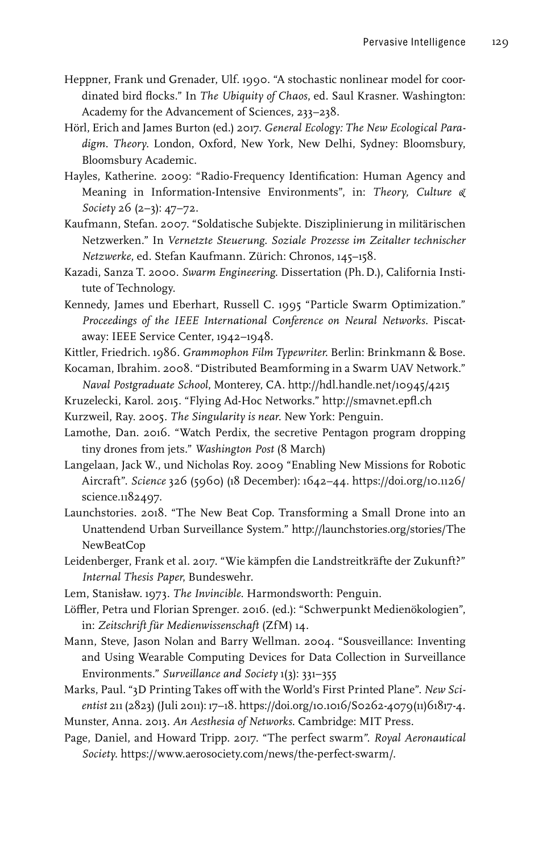- Heppner, Frank und Grenader, Ulf. 1990. "A stochastic nonlinear model for coordinated bird flocks." In *The Ubiquity of Chaos*, ed. Saul Krasner. Washington: Academy for the Advancement of Sciences, 233–238.
- Hörl, Erich and James Burton (ed.) 2017. *General Ecology: The New Ecological Paradigm*. *Theory*. London, Oxford, New York, New Delhi, Sydney: Bloomsbury, Bloomsbury Academic.
- Hayles, Katherine. 2009: "Radio-Frequency Identification: Human Agency and Meaning in Information-Intensive Environments", in: *Theory, Culture & Society* 26 (2–3): 47–72.
- Kaufmann, Stefan. 2007. "Soldatische Subjekte. Disziplinierung in militärischen Netzwerken." In *Vernetzte Steuerung. Soziale Prozesse im Zeitalter technischer Netzwerke*, ed. Stefan Kaufmann. Zürich: Chronos, 145–158.
- Kazadi, Sanza T. 2000. *Swarm Engineering*. Dissertation (Ph.D.), California Institute of Technology.
- Kennedy, James und Eberhart, Russell C. 1995 "Particle Swarm Optimization." *Proceedings of the IEEE International Conference on Neural Networks*. Piscataway: IEEE Service Center, 1942–1948.
- Kittler, Friedrich. 1986. *Grammophon Film Typewriter*. Berlin: Brinkmann & Bose. Kocaman, Ibrahim. 2008. "Distributed Beamforming in a Swarm UAV Network."
- *Naval Postgraduate School*, Monterey, CA. <http://hdl.handle.net/10945/4215>
- Kruzelecki, Karol. 2015. "Flying Ad-Hoc Networks."<http://smavnet.epfl.ch>
- Kurzweil, Ray. 2005. *The Singularity is near.* New York: Penguin.
- Lamothe, Dan. 2016. "Watch Perdix, the secretive Pentagon program dropping tiny drones from jets." *Washington Post* (8 March)
- Langelaan, Jack W., und Nicholas Roy. 2009 "Enabling New Missions for Robotic Aircraft". *Science* 326 (5960) (18 December): 1642–44. [https://doi.org/10.1126/](https://doi.org/10.1126/science.1182497) [science.1182497.](https://doi.org/10.1126/science.1182497)
- Launchstories. 2018. "The New Beat Cop. Transforming a Small Drone into an Unattendend Urban Surveillance System." [http://launchstories.org/stories/The](http://launchstories.org/stories/TheNewBeatCop) [NewBeatCop](http://launchstories.org/stories/TheNewBeatCop)
- Leidenberger, Frank et al. 2017. "Wie kämpfen die Landstreitkräfte der Zukunft?" *Internal Thesis Paper*, Bundeswehr.
- Lem, Stanisław. 1973. *The Invincible*. Harmondsworth: Penguin.
- Löffler, Petra und Florian Sprenger. 2016. (ed.): "Schwerpunkt Medienökologien", in: *Zeitschrift für Medienwissenschaft* (ZfM) 14.
- Mann, Steve, Jason Nolan and Barry Wellman. 2004. "Sousveillance: Inventing and Using Wearable Computing Devices for Data Collection in Surveillance Environments." *Surveillance and Society* 1(3): 331–355
- Marks, Paul. "3D Printing Takes off with the World's First Printed Plane". *New Scientist* 211 (2823) (Juli 2011): 17–18. [https://doi.org/10.1016/S0262-4079\(11\)61817-4](https://doi.org/10.1016/S0262-4079(11)61817-4).

Munster, Anna. 2013. *An Aesthesia of Networks*. Cambridge: MIT Press.

Page, Daniel, and Howard Tripp. 2017. "The perfect swarm*". Royal Aeronautical Society*.<https://www.aerosociety.com/news/the-perfect-swarm/>.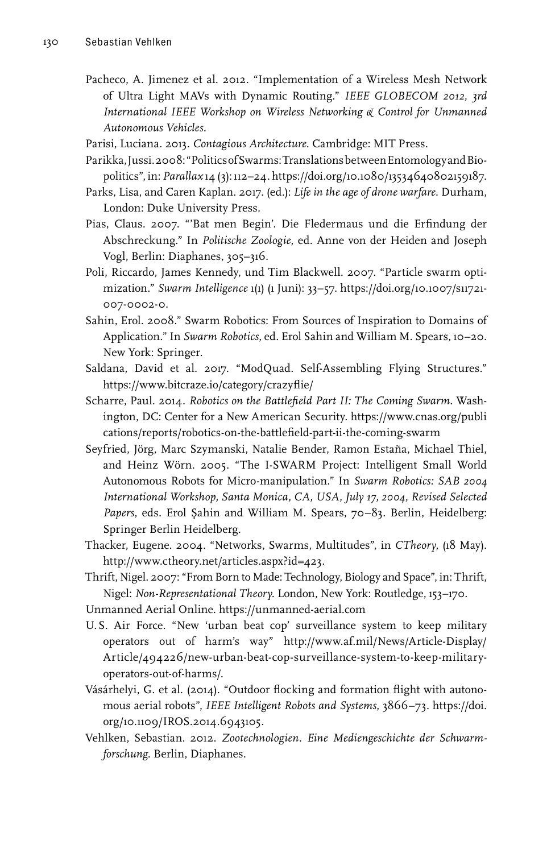- Pacheco, A. Jimenez et al. 2012. "Implementation of a Wireless Mesh Network of Ultra Light MAVs with Dynamic Routing." *IEEE GLOBECOM 2012, 3rd International IEEE Workshop on Wireless Networking & Control for Unmanned Autonomous Vehicles*.
- Parisi, Luciana. 2013. *Contagious Architecture*. Cambridge: MIT Press.
- Parikka, Jussi. 2008: "Politics of Swarms: Translations between Entomology and Biopolitics", in: *Parallax* 14 (3): 112–24.<https://doi.org/10.1080/13534640802159187>.
- Parks, Lisa, and Caren Kaplan. 2017. (ed.): *Life in the age of drone warfare.* Durham, London: Duke University Press.
- Pias, Claus. 2007. "'Bat men Begin'. Die Fledermaus und die Erfindung der Abschreckung." In *Politische Zoologie*, ed. Anne von der Heiden and Joseph Vogl, Berlin: Diaphanes, 305–316.
- Poli, Riccardo, James Kennedy, und Tim Blackwell. 2007. "Particle swarm optimization." *Swarm Intelligence* 1(1) (1 Juni): 33–57. [https://doi.org/10.1007/s11721-](https://doi.org/10.1007/s11721-007-0002-0) [007-0002-0.](https://doi.org/10.1007/s11721-007-0002-0)
- Sahin, Erol. 2008." Swarm Robotics: From Sources of Inspiration to Domains of Application." In *Swarm Robotics*, ed. Erol Sahin and William M. Spears, 10–20. New York: Springer.
- Saldana, David et al. 2017. "ModQuad. Self-Assembling Flying Structures." <https://www.bitcraze.io/category/crazyflie/>
- Scharre, Paul. 2014. *Robotics on the Battlefield Part II: The Coming Swarm*. Washington, DC: Center for a New American Security. [https://www.cnas.org/publi](https://www.cnas.org/publications/reports/robotics-on-the-battlefield-part-ii-the-coming-swarm) [cations/reports/robotics-on-the-battlefield-part-ii-the-coming-swarm](https://www.cnas.org/publications/reports/robotics-on-the-battlefield-part-ii-the-coming-swarm)
- Seyfried, Jörg, Marc Szymanski, Natalie Bender, Ramon Estaña, Michael Thiel, and Heinz Wörn. 2005. "The I-SWARM Project: Intelligent Small World Autonomous Robots for Micro-manipulation." In *Swarm Robotics: SAB 2004 International Workshop, Santa Monica, CA, USA, July 17, 2004, Revised Selected Papers*, eds. Erol Şahin and William M. Spears, 70–83. Berlin, Heidelberg: Springer Berlin Heidelberg.
- Thacker, Eugene. 2004. "Networks, Swarms, Multitudes", in *CTheory*, (18 May). [http://www.ctheory.net/articles.aspx?id=423.](http://www.ctheory.net/articles.aspx?id=423)
- Thrift, Nigel. 2007: "From Born to Made: Technology, Biology and Space", in: Thrift, Nigel: *Non-Representational Theory*. London, New York: Routledge, 153–170.
- Unmanned Aerial Online. <https://unmanned-aerial.com>
- U.S. Air Force. "New 'urban beat cop' surveillance system to keep military operators out of harm's way" [http://www.af.mil/News/Article-Display/](http://www.af.mil/News/Article-Display/Article/494226/new-urban-beat-cop-surveillance-system-to-keep-military-operators-out-of-harms/) [Article/494226/new-urban-beat-cop-surveillance-system-to-keep-military](http://www.af.mil/News/Article-Display/Article/494226/new-urban-beat-cop-surveillance-system-to-keep-military-operators-out-of-harms/)[operators-out-of-harms/.](http://www.af.mil/News/Article-Display/Article/494226/new-urban-beat-cop-surveillance-system-to-keep-military-operators-out-of-harms/)
- Vásárhelyi, G. et al. (2014). "Outdoor flocking and formation flight with autonomous aerial robots", *IEEE Intelligent Robots and Systems*, 3866–73. [https://doi.](https://doi.org/10.1109/IROS.2014.6943105) [org/10.1109/IROS.2014.6943105](https://doi.org/10.1109/IROS.2014.6943105).
- Vehlken, Sebastian. 2012. *Zootechnologien. Eine Mediengeschichte der Schwarmforschung*. Berlin, Diaphanes.